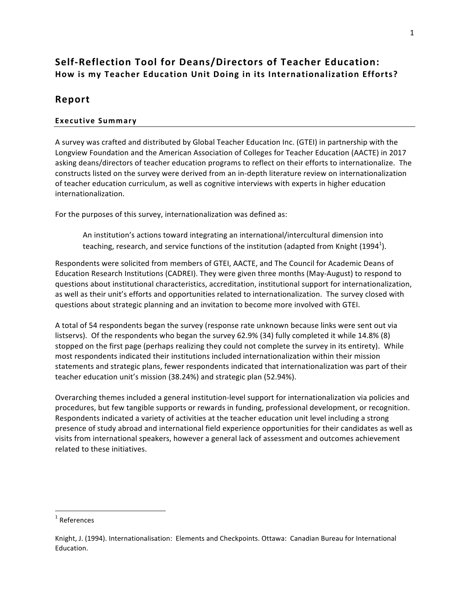# **Self-Reflection Tool for Deans/Directors of Teacher Education:** How is my Teacher Education Unit Doing in its Internationalization Efforts?

# **Report**

## **Executive Summary**

A survey was crafted and distributed by Global Teacher Education Inc. (GTEI) in partnership with the Longview Foundation and the American Association of Colleges for Teacher Education (AACTE) in 2017 asking deans/directors of teacher education programs to reflect on their efforts to internationalize. The constructs listed on the survey were derived from an in-depth literature review on internationalization of teacher education curriculum, as well as cognitive interviews with experts in higher education internationalization. 

For the purposes of this survey, internationalization was defined as:

An institution's actions toward integrating an international/intercultural dimension into teaching, research, and service functions of the institution (adapted from Knight (1994 $^{\rm 1}$ ).

Respondents were solicited from members of GTEI, AACTE, and The Council for Academic Deans of Education Research Institutions (CADREI). They were given three months (May-August) to respond to questions about institutional characteristics, accreditation, institutional support for internationalization, as well as their unit's efforts and opportunities related to internationalization. The survey closed with questions about strategic planning and an invitation to become more involved with GTEI.

A total of 54 respondents began the survey (response rate unknown because links were sent out via listservs). Of the respondents who began the survey 62.9%  $(34)$  fully completed it while 14.8%  $(8)$ stopped on the first page (perhaps realizing they could not complete the survey in its entirety). While most respondents indicated their institutions included internationalization within their mission statements and strategic plans, fewer respondents indicated that internationalization was part of their teacher education unit's mission (38.24%) and strategic plan (52.94%).

Overarching themes included a general institution-level support for internationalization via policies and procedures, but few tangible supports or rewards in funding, professional development, or recognition. Respondents indicated a variety of activities at the teacher education unit level including a strong presence of study abroad and international field experience opportunities for their candidates as well as visits from international speakers, however a general lack of assessment and outcomes achievement related to these initiatives.

<u> 1989 - Johann Barn, mars ann an t-Amhain an t-Amhain an t-Amhain an t-Amhain an t-Amhain an t-Amhain an t-Amh</u>

 $1$  References

Knight, J. (1994). Internationalisation: Elements and Checkpoints. Ottawa: Canadian Bureau for International Education.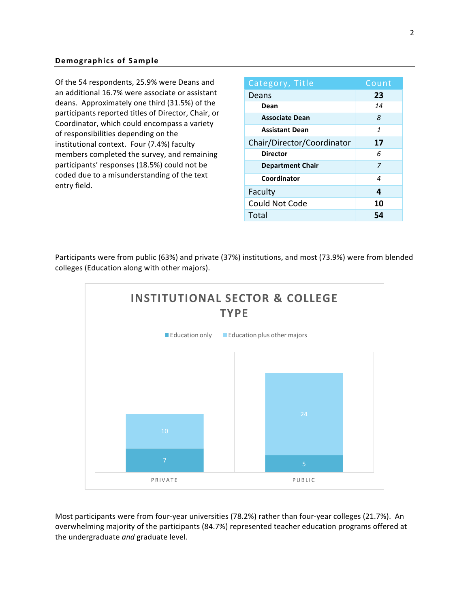Of the 54 respondents, 25.9% were Deans and an additional 16.7% were associate or assistant deans. Approximately one third (31.5%) of the participants reported titles of Director, Chair, or Coordinator, which could encompass a variety of responsibilities depending on the institutional context. Four (7.4%) faculty members completed the survey, and remaining participants' responses (18.5%) could not be coded due to a misunderstanding of the text entry field.

| Category, Title            | Count |
|----------------------------|-------|
| Deans                      | 23    |
| Dean                       | 14    |
| <b>Associate Dean</b>      | 8     |
| <b>Assistant Dean</b>      | 1     |
| Chair/Director/Coordinator | 17    |
| <b>Director</b>            | 6     |
| <b>Department Chair</b>    | 7     |
| Coordinator                | 4     |
| Faculty                    | 4     |
| Could Not Code             | 10    |
| Total                      | 54    |

Participants were from public (63%) and private (37%) institutions, and most (73.9%) were from blended colleges (Education along with other majors).



Most participants were from four-year universities (78.2%) rather than four-year colleges (21.7%). An overwhelming majority of the participants (84.7%) represented teacher education programs offered at the undergraduate and graduate level.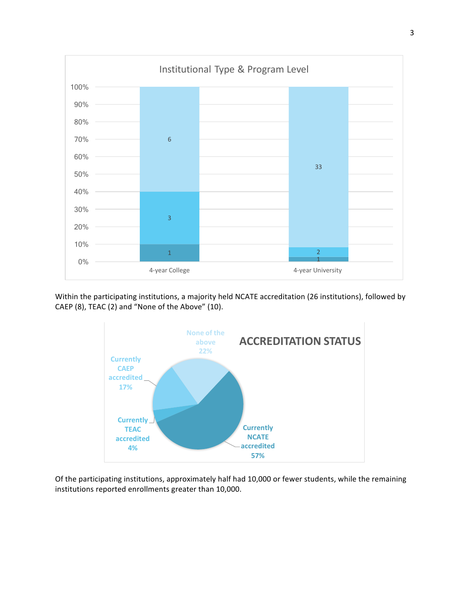

Within the participating institutions, a majority held NCATE accreditation (26 institutions), followed by CAEP (8), TEAC (2) and "None of the Above" (10).



Of the participating institutions, approximately half had 10,000 or fewer students, while the remaining institutions reported enrollments greater than 10,000.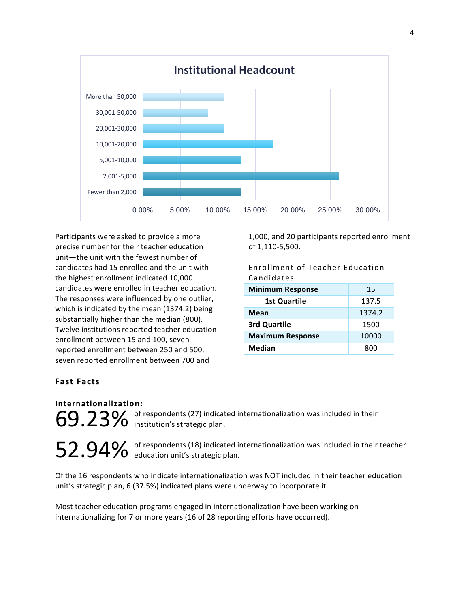

Participants were asked to provide a more precise number for their teacher education unit-the unit with the fewest number of candidates had 15 enrolled and the unit with the highest enrollment indicated 10,000 candidates were enrolled in teacher education. The responses were influenced by one outlier, which is indicated by the mean  $(1374.2)$  being substantially higher than the median (800). Twelve institutions reported teacher education enrollment between 15 and 100, seven reported enrollment between 250 and 500, seven reported enrollment between 700 and

1,000, and 20 participants reported enrollment of 1,110-5,500.

Enrollment of Teacher Education Candidates

| <b>Minimum Response</b> | 15     |
|-------------------------|--------|
| <b>1st Quartile</b>     | 137.5  |
| Mean                    | 1374.2 |
| 3rd Quartile            | 1500   |
| <b>Maximum Response</b> | 10000  |
| Median                  | ons    |

## **Fast Facts**

#### **Internationalization:**

of respondents (27) indicated internationalization was included in their  $69.23\%$  of respondents (27) indicates (27) indicates in the institution's strategic plan.

of respondents (18) indicated internationalization was included in their teacher 52.94% of respondents (18) indicated is sequenced in education unit's strategic plan.

Of the 16 respondents who indicate internationalization was NOT included in their teacher education unit's strategic plan,  $6$  (37.5%) indicated plans were underway to incorporate it.

Most teacher education programs engaged in internationalization have been working on internationalizing for 7 or more years (16 of 28 reporting efforts have occurred).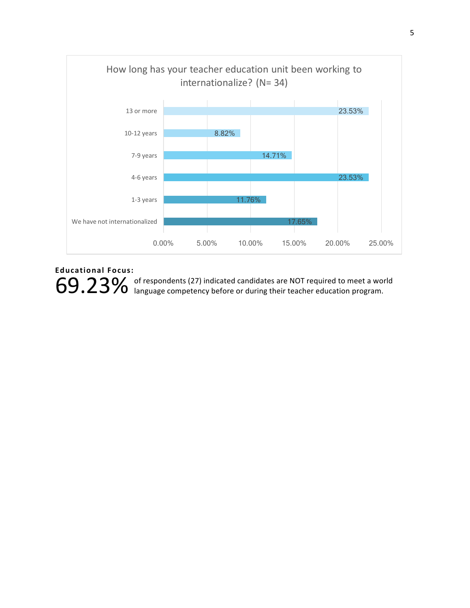

## **Educational Focus:**

of respondents (27) indicated candidates are NOT required to meet a world  $69.23\%$  of respondents (27) indicated candidates are NOT required to meet a wo<br> $69.23\%$  language competency before or during their teacher education program.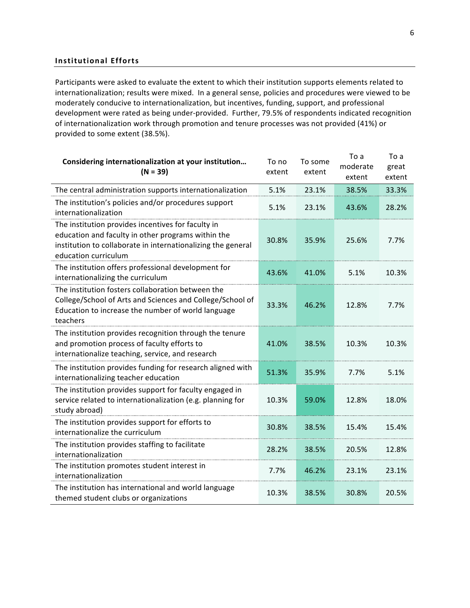#### **Institutional Efforts**

Participants were asked to evaluate the extent to which their institution supports elements related to internationalization; results were mixed. In a general sense, policies and procedures were viewed to be moderately conducive to internationalization, but incentives, funding, support, and professional development were rated as being under-provided. Further, 79.5% of respondents indicated recognition of internationalization work through promotion and tenure processes was not provided (41%) or provided to some extent (38.5%).

| Considering internationalization at your institution<br>$(N = 39)$                                                                                                                               | To no<br>extent | To some<br>extent | To a<br>moderate<br>extent | To a<br>great<br>extent |
|--------------------------------------------------------------------------------------------------------------------------------------------------------------------------------------------------|-----------------|-------------------|----------------------------|-------------------------|
| The central administration supports internationalization                                                                                                                                         | 5.1%            | 23.1%             | 38.5%                      | 33.3%                   |
| The institution's policies and/or procedures support<br>internationalization                                                                                                                     | 5.1%            | 23.1%             | 43.6%                      | 28.2%                   |
| The institution provides incentives for faculty in<br>education and faculty in other programs within the<br>institution to collaborate in internationalizing the general<br>education curriculum | 30.8%           | 35.9%             | 25.6%                      | 7.7%                    |
| The institution offers professional development for<br>internationalizing the curriculum                                                                                                         | 43.6%           | 41.0%             | 5.1%                       | 10.3%                   |
| The institution fosters collaboration between the<br>College/School of Arts and Sciences and College/School of<br>Education to increase the number of world language<br>teachers                 | 33.3%           | 46.2%             | 12.8%                      | 7.7%                    |
| The institution provides recognition through the tenure<br>and promotion process of faculty efforts to<br>internationalize teaching, service, and research                                       | 41.0%           | 38.5%             | 10.3%                      | 10.3%                   |
| The institution provides funding for research aligned with<br>internationalizing teacher education                                                                                               | 51.3%           | 35.9%             | 7.7%                       | 5.1%                    |
| The institution provides support for faculty engaged in<br>service related to internationalization (e.g. planning for<br>study abroad)                                                           | 10.3%           | 59.0%             | 12.8%                      | 18.0%                   |
| The institution provides support for efforts to<br>internationalize the curriculum                                                                                                               | 30.8%           | 38.5%             | 15.4%                      | 15.4%                   |
| The institution provides staffing to facilitate<br>internationalization                                                                                                                          | 28.2%           | 38.5%             | 20.5%                      | 12.8%                   |
| The institution promotes student interest in<br>internationalization                                                                                                                             | 7.7%            | 46.2%             | 23.1%                      | 23.1%                   |
| The institution has international and world language<br>themed student clubs or organizations                                                                                                    | 10.3%           | 38.5%             | 30.8%                      | 20.5%                   |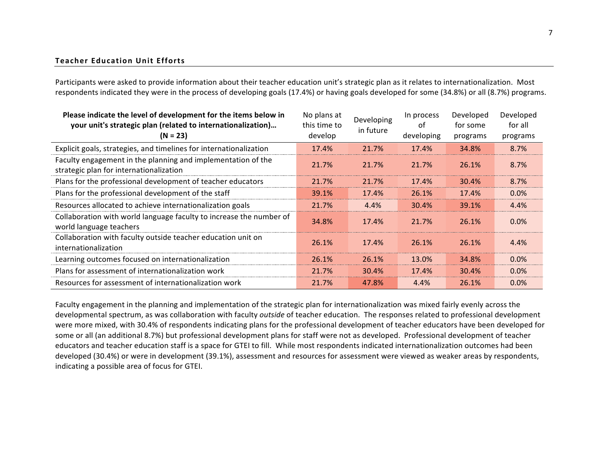#### **Teacher Education Unit Efforts**

Participants were asked to provide information about their teacher education unit's strategic plan as it relates to internationalization. Most respondents indicated they were in the process of developing goals (17.4%) or having goals developed for some (34.8%) or all (8.7%) programs.

| Please indicate the level of development for the items below in<br>your unit's strategic plan (related to internationalization)<br>$(N = 23)$ | No plans at<br>this time to<br>develop | Developing<br>in future | In process<br>οf<br>developing | Developed<br>for some<br>programs | Developed<br>for all<br>programs |
|-----------------------------------------------------------------------------------------------------------------------------------------------|----------------------------------------|-------------------------|--------------------------------|-----------------------------------|----------------------------------|
| Explicit goals, strategies, and timelines for internationalization                                                                            | 17.4%                                  | 21.7%                   | 17.4%                          | 34.8%                             | 8.7%                             |
| Faculty engagement in the planning and implementation of the<br>strategic plan for internationalization                                       | 21.7%                                  | 21.7%                   | 21.7%                          | 26.1%                             | 8.7%                             |
| Plans for the professional development of teacher educators                                                                                   | 21.7%                                  | 21.7%                   | 17.4%                          | 30.4%                             | 8.7%                             |
| Plans for the professional development of the staff                                                                                           | 39.1%                                  | 17.4%                   | 26.1%                          | 17.4%                             | 0.0%                             |
| Resources allocated to achieve internationalization goals                                                                                     | 21.7%                                  | 4.4%                    | 30.4%                          | 39.1%                             | 4.4%                             |
| Collaboration with world language faculty to increase the number of<br>world language teachers                                                | 34.8%                                  | 17.4%                   | 21.7%                          | 26.1%                             | $0.0\%$                          |
| Collaboration with faculty outside teacher education unit on<br>internationalization                                                          | 26.1%                                  | 17.4%                   | 26.1%                          | 26.1%                             | 4.4%                             |
| Learning outcomes focused on internationalization                                                                                             | 26.1%                                  | 26.1%                   | 13.0%                          | 34.8%                             | 0.0%                             |
| Plans for assessment of internationalization work                                                                                             | 21.7%                                  | 30.4%                   | 17.4%                          | 30.4%                             | 0.0%                             |
| Resources for assessment of internationalization work                                                                                         | 21.7%                                  | 47.8%                   | 4.4%                           | 26.1%                             | 0.0%                             |

Faculty engagement in the planning and implementation of the strategic plan for internationalization was mixed fairly evenly across the developmental spectrum, as was collaboration with faculty *outside* of teacher education. The responses related to professional development were more mixed, with 30.4% of respondents indicating plans for the professional development of teacher educators have been developed for some or all (an additional 8.7%) but professional development plans for staff were not as developed. Professional development of teacher educators and teacher education staff is a space for GTEI to fill. While most respondents indicated internationalization outcomes had been developed (30.4%) or were in development (39.1%), assessment and resources for assessment were viewed as weaker areas by respondents, indicating a possible area of focus for GTEI.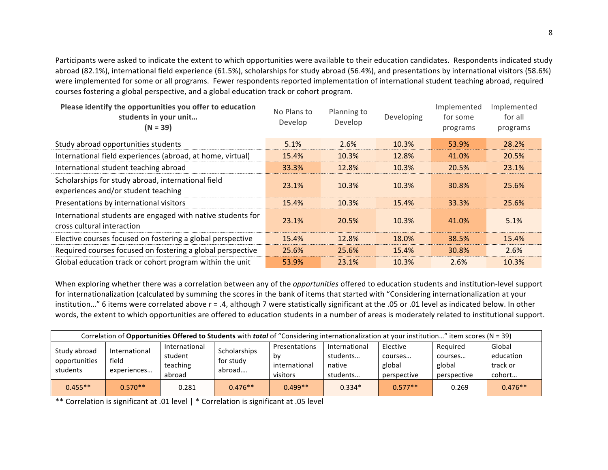Participants were asked to indicate the extent to which opportunities were available to their education candidates. Respondents indicated study abroad (82.1%), international field experience (61.5%), scholarships for study abroad (56.4%), and presentations by international visitors (58.6%) were implemented for some or all programs. Fewer respondents reported implementation of international student teaching abroad, required courses fostering a global perspective, and a global education track or cohort program.

| Please identify the opportunities you offer to education<br>students in your unit<br>$(N = 39)$ | Planning to<br>No Plans to<br>Develop<br>Develop |       | Developing | Implemented<br>for some<br>programs | Implemented<br>for all<br>programs |
|-------------------------------------------------------------------------------------------------|--------------------------------------------------|-------|------------|-------------------------------------|------------------------------------|
| Study abroad opportunities students                                                             | 5.1%                                             | 2.6%  | 10.3%      | 53.9%                               | 28.2%                              |
| International field experiences (abroad, at home, virtual)                                      | 15.4%                                            | 10.3% | 12.8%      | 41.0%                               | 20.5%                              |
| International student teaching abroad                                                           | 33.3%                                            | 12.8% | 10.3%      | 20.5%                               | 23.1%                              |
| Scholarships for study abroad, international field<br>experiences and/or student teaching       | 23.1%                                            | 10.3% | 10.3%      | 30.8%                               | 25.6%                              |
| Presentations by international visitors                                                         | 15.4%                                            | 10.3% | 15.4%      | 33.3%                               | 25.6%                              |
| International students are engaged with native students for<br>cross cultural interaction       | 23.1%                                            | 20.5% | 10.3%      | 41.0%                               | 5.1%                               |
| Elective courses focused on fostering a global perspective                                      | 15.4%                                            | 12.8% | 18.0%      | 38.5%                               | 15.4%                              |
| Required courses focused on fostering a global perspective                                      | 25.6%                                            | 25.6% | 15.4%      | 30.8%                               | 2.6%                               |
| Global education track or cohort program within the unit                                        | 53.9%                                            | 23.1% | 10.3%      | 2.6%                                | 10.3%                              |

When exploring whether there was a correlation between any of the *opportunities* offered to education students and institution-level support for internationalization (calculated by summing the scores in the bank of items that started with "Considering internationalization at your institution..." 6 items were correlated above r = .4, although 7 were statistically significant at the .05 or .01 level as indicated below. In other words, the extent to which opportunities are offered to education students in a number of areas is moderately related to institutional support.

| Correlation of Opportunities Offered to Students with total of "Considering internationalization at your institution" item scores (N = 39) |                                       |                                                |                                     |                                                  |                                                 |                                              |                                              |                                           |
|--------------------------------------------------------------------------------------------------------------------------------------------|---------------------------------------|------------------------------------------------|-------------------------------------|--------------------------------------------------|-------------------------------------------------|----------------------------------------------|----------------------------------------------|-------------------------------------------|
| Study abroad<br>opportunities<br>students                                                                                                  | International<br>field<br>experiences | International<br>student<br>teaching<br>abroad | Scholarships<br>for study<br>abroad | Presentations<br>bv<br>international<br>visitors | International<br>students<br>native<br>students | Elective<br>courses<br>global<br>perspective | Required<br>courses<br>global<br>perspective | Global<br>education<br>track or<br>cohort |
| $0.455**$                                                                                                                                  | $0.570**$                             | 0.281                                          | $0.476**$                           | $0.499**$                                        | $0.334*$                                        | $0.577**$                                    | 0.269                                        | $0.476**$                                 |

\*\* Correlation is significant at .01 level | \* Correlation is significant at .05 level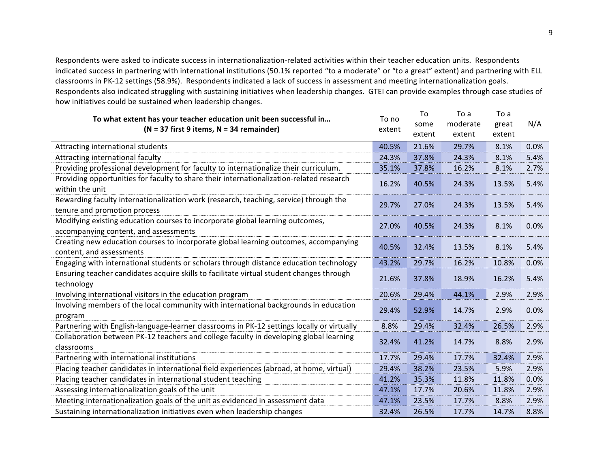Respondents were asked to indicate success in internationalization-related activities within their teacher education units. Respondents indicated success in partnering with international institutions (50.1% reported "to a moderate" or "to a great" extent) and partnering with ELL classrooms in PK-12 settings (58.9%). Respondents indicated a lack of success in assessment and meeting internationalization goals. Respondents also indicated struggling with sustaining initiatives when leadership changes. GTEI can provide examples through case studies of how initiatives could be sustained when leadership changes.

| To what extent has your teacher education unit been successful in<br>$(N = 37$ first 9 items, $N = 34$ remainder)      | To no<br>extent | To<br>some<br>extent | To a<br>moderate<br>extent | To a<br>great<br>extent | N/A     |
|------------------------------------------------------------------------------------------------------------------------|-----------------|----------------------|----------------------------|-------------------------|---------|
| Attracting international students                                                                                      | 40.5%           | 21.6%                | 29.7%                      | 8.1%                    | 0.0%    |
| Attracting international faculty                                                                                       | 24.3%           | 37.8%                | 24.3%                      | 8.1%                    | 5.4%    |
| Providing professional development for faculty to internationalize their curriculum.                                   | 35.1%           | 37.8%                | 16.2%                      | 8.1%                    | 2.7%    |
| Providing opportunities for faculty to share their internationalization-related research<br>within the unit            | 16.2%           | 40.5%                | 24.3%                      | 13.5%                   | 5.4%    |
| Rewarding faculty internationalization work (research, teaching, service) through the<br>tenure and promotion process  | 29.7%           | 27.0%                | 24.3%                      | 13.5%                   | 5.4%    |
| Modifying existing education courses to incorporate global learning outcomes,<br>accompanying content, and assessments | 27.0%           | 40.5%                | 24.3%                      | 8.1%                    | 0.0%    |
| Creating new education courses to incorporate global learning outcomes, accompanying<br>content, and assessments       | 40.5%           | 32.4%                | 13.5%                      | 8.1%                    | 5.4%    |
| Engaging with international students or scholars through distance education technology                                 | 43.2%           | 29.7%                | 16.2%                      | 10.8%                   | $0.0\%$ |
| Ensuring teacher candidates acquire skills to facilitate virtual student changes through<br>technology                 | 21.6%           | 37.8%                | 18.9%                      | 16.2%                   | 5.4%    |
| Involving international visitors in the education program                                                              | 20.6%           | 29.4%                | 44.1%                      | 2.9%                    | 2.9%    |
| Involving members of the local community with international backgrounds in education<br>program                        | 29.4%           | 52.9%                | 14.7%                      | 2.9%                    | 0.0%    |
| Partnering with English-language-learner classrooms in PK-12 settings locally or virtually                             | 8.8%            | 29.4%                | 32.4%                      | 26.5%                   | 2.9%    |
| Collaboration between PK-12 teachers and college faculty in developing global learning<br>classrooms                   | 32.4%           | 41.2%                | 14.7%                      | 8.8%                    | 2.9%    |
| Partnering with international institutions                                                                             | 17.7%           | 29.4%                | 17.7%                      | 32.4%                   | 2.9%    |
| Placing teacher candidates in international field experiences (abroad, at home, virtual)                               | 29.4%           | 38.2%                | 23.5%                      | 5.9%                    | 2.9%    |
| Placing teacher candidates in international student teaching                                                           | 41.2%           | 35.3%                | 11.8%                      | 11.8%                   | 0.0%    |
| Assessing internationalization goals of the unit                                                                       | 47.1%           | 17.7%                | 20.6%                      | 11.8%                   | 2.9%    |
| Meeting internationalization goals of the unit as evidenced in assessment data                                         | 47.1%           | 23.5%                | 17.7%                      | 8.8%                    | 2.9%    |
| Sustaining internationalization initiatives even when leadership changes                                               | 32.4%           | 26.5%                | 17.7%                      | 14.7%                   | 8.8%    |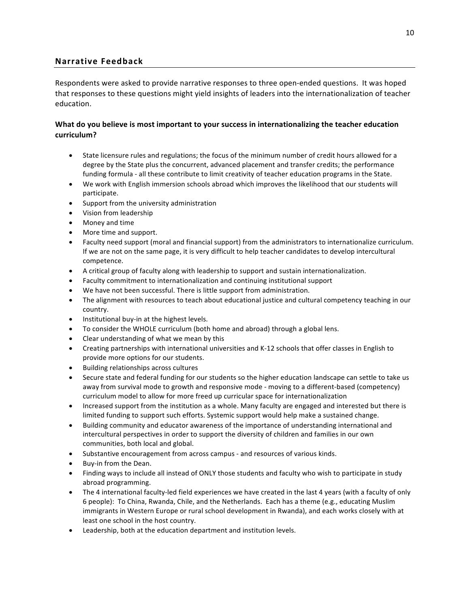## **Narrative Feedback**

Respondents were asked to provide narrative responses to three open-ended questions. It was hoped that responses to these questions might yield insights of leaders into the internationalization of teacher education.

## What do you believe is most important to your success in internationalizing the teacher education **curriculum?**

- State licensure rules and regulations; the focus of the minimum number of credit hours allowed for a degree by the State plus the concurrent, advanced placement and transfer credits; the performance funding formula - all these contribute to limit creativity of teacher education programs in the State.
- We work with English immersion schools abroad which improves the likelihood that our students will participate.
- Support from the university administration
- Vision from leadership
- Money and time
- More time and support.
- Faculty need support (moral and financial support) from the administrators to internationalize curriculum. If we are not on the same page, it is very difficult to help teacher candidates to develop intercultural competence.
- A critical group of faculty along with leadership to support and sustain internationalization.
- Faculty commitment to internationalization and continuing institutional support
- We have not been successful. There is little support from administration.
- The alignment with resources to teach about educational justice and cultural competency teaching in our country.
- Institutional buy-in at the highest levels.
- To consider the WHOLE curriculum (both home and abroad) through a global lens.
- Clear understanding of what we mean by this
- Creating partnerships with international universities and K-12 schools that offer classes in English to provide more options for our students.
- Building relationships across cultures
- Secure state and federal funding for our students so the higher education landscape can settle to take us away from survival mode to growth and responsive mode - moving to a different-based (competency) curriculum model to allow for more freed up curricular space for internationalization
- Increased support from the institution as a whole. Many faculty are engaged and interested but there is limited funding to support such efforts. Systemic support would help make a sustained change.
- Building community and educator awareness of the importance of understanding international and intercultural perspectives in order to support the diversity of children and families in our own communities, both local and global.
- Substantive encouragement from across campus and resources of various kinds.
- Buy-in from the Dean.
- Finding ways to include all instead of ONLY those students and faculty who wish to participate in study abroad programming.
- The 4 international faculty-led field experiences we have created in the last 4 years (with a faculty of only 6 people): To China, Rwanda, Chile, and the Netherlands. Each has a theme (e.g., educating Muslim immigrants in Western Europe or rural school development in Rwanda), and each works closely with at least one school in the host country.
- Leadership, both at the education department and institution levels.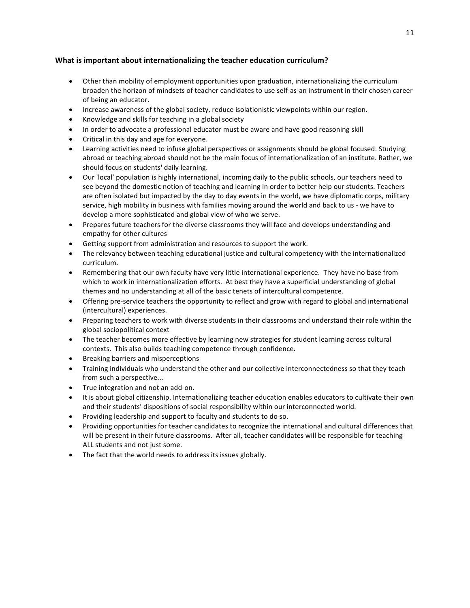### **What is important about internationalizing the teacher education curriculum?**

- Other than mobility of employment opportunities upon graduation, internationalizing the curriculum broaden the horizon of mindsets of teacher candidates to use self-as-an instrument in their chosen career of being an educator.
- Increase awareness of the global society, reduce isolationistic viewpoints within our region.
- Knowledge and skills for teaching in a global society
- In order to advocate a professional educator must be aware and have good reasoning skill
- Critical in this day and age for everyone.
- Learning activities need to infuse global perspectives or assignments should be global focused. Studying abroad or teaching abroad should not be the main focus of internationalization of an institute. Rather, we should focus on students' daily learning.
- Our 'local' population is highly international, incoming daily to the public schools, our teachers need to see beyond the domestic notion of teaching and learning in order to better help our students. Teachers are often isolated but impacted by the day to day events in the world, we have diplomatic corps, military service, high mobility in business with families moving around the world and back to us - we have to develop a more sophisticated and global view of who we serve.
- Prepares future teachers for the diverse classrooms they will face and develops understanding and empathy for other cultures
- Getting support from administration and resources to support the work.
- The relevancy between teaching educational justice and cultural competency with the internationalized curriculum.
- Remembering that our own faculty have very little international experience. They have no base from which to work in internationalization efforts. At best they have a superficial understanding of global themes and no understanding at all of the basic tenets of intercultural competence.
- Offering pre-service teachers the opportunity to reflect and grow with regard to global and international (intercultural) experiences.
- Preparing teachers to work with diverse students in their classrooms and understand their role within the global sociopolitical context
- The teacher becomes more effective by learning new strategies for student learning across cultural contexts. This also builds teaching competence through confidence.
- Breaking barriers and misperceptions
- Training individuals who understand the other and our collective interconnectedness so that they teach from such a perspective...
- True integration and not an add-on.
- It is about global citizenship. Internationalizing teacher education enables educators to cultivate their own and their students' dispositions of social responsibility within our interconnected world.
- Providing leadership and support to faculty and students to do so.
- Providing opportunities for teacher candidates to recognize the international and cultural differences that will be present in their future classrooms. After all, teacher candidates will be responsible for teaching ALL students and not just some.
- The fact that the world needs to address its issues globally.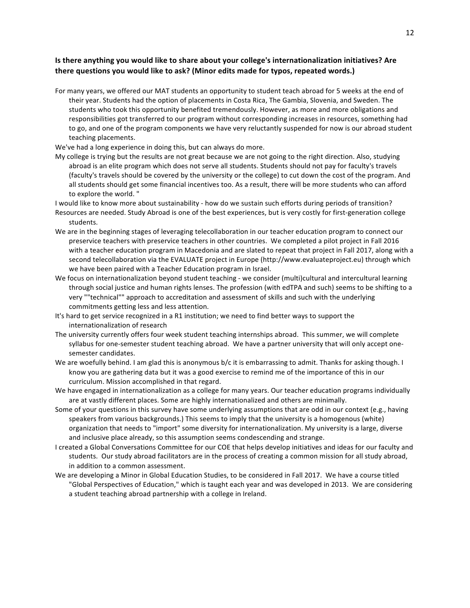### **Is there anything you would like to share about your college's internationalization initiatives? Are** there questions you would like to ask? (Minor edits made for typos, repeated words.)

- For many years, we offered our MAT students an opportunity to student teach abroad for 5 weeks at the end of their year. Students had the option of placements in Costa Rica, The Gambia, Slovenia, and Sweden. The students who took this opportunity benefited tremendously. However, as more and more obligations and responsibilities got transferred to our program without corresponding increases in resources, something had to go, and one of the program components we have very reluctantly suspended for now is our abroad student teaching placements.
- We've had a long experience in doing this, but can always do more.
- My college is trying but the results are not great because we are not going to the right direction. Also, studying abroad is an elite program which does not serve all students. Students should not pay for faculty's travels (faculty's travels should be covered by the university or the college) to cut down the cost of the program. And all students should get some financial incentives too. As a result, there will be more students who can afford to explore the world. "

I would like to know more about sustainability - how do we sustain such efforts during periods of transition?

- Resources are needed. Study Abroad is one of the best experiences, but is very costly for first-generation college students.
- We are in the beginning stages of leveraging telecollaboration in our teacher education program to connect our preservice teachers with preservice teachers in other countries. We completed a pilot project in Fall 2016 with a teacher education program in Macedonia and are slated to repeat that project in Fall 2017, along with a second telecollaboration via the EVALUATE project in Europe (http://www.evaluateproject.eu) through which we have been paired with a Teacher Education program in Israel.
- We focus on internationalization beyond student teaching we consider (multi)cultural and intercultural learning through social justice and human rights lenses. The profession (with edTPA and such) seems to be shifting to a very ""technical"" approach to accreditation and assessment of skills and such with the underlying commitments getting less and less attention.
- It's hard to get service recognized in a R1 institution; we need to find better ways to support the internationalization of research
- The university currently offers four week student teaching internships abroad. This summer, we will complete syllabus for one-semester student teaching abroad. We have a partner university that will only accept onesemester candidates.
- We are woefully behind. I am glad this is anonymous b/c it is embarrassing to admit. Thanks for asking though. I know you are gathering data but it was a good exercise to remind me of the importance of this in our curriculum. Mission accomplished in that regard.
- We have engaged in internationalization as a college for many years. Our teacher education programs individually are at vastly different places. Some are highly internationalized and others are minimally.
- Some of your questions in this survey have some underlying assumptions that are odd in our context (e.g., having speakers from various backgrounds.) This seems to imply that the university is a homogenous (white) organization that needs to "import" some diversity for internationalization. My university is a large, diverse and inclusive place already, so this assumption seems condescending and strange.
- I created a Global Conversations Committee for our COE that helps develop initiatives and ideas for our faculty and students. Our study abroad facilitators are in the process of creating a common mission for all study abroad, in addition to a common assessment.
- We are developing a Minor in Global Education Studies, to be considered in Fall 2017. We have a course titled "Global Perspectives of Education," which is taught each year and was developed in 2013. We are considering a student teaching abroad partnership with a college in Ireland.